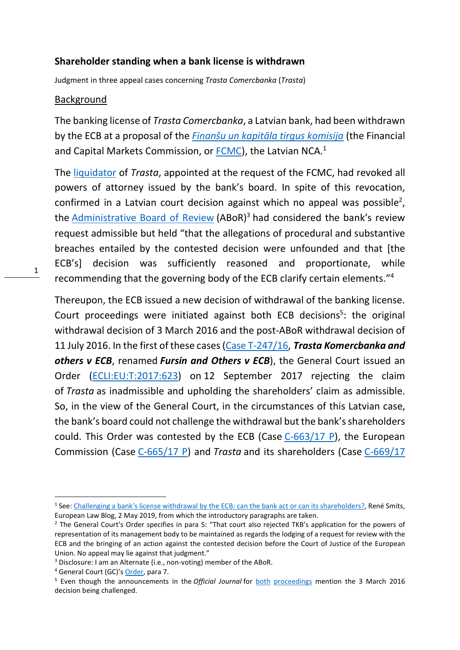#### Shareholder standing when a bank license is withdrawn

Judgment in three appeal cases concerning Trasta Comercbanka (Trasta)

#### Background

The banking license of Trasta Comercbanka, a Latvian bank, had been withdrawn by the ECB at a proposal of the *Finanšu un kapitāla tirgus komisija* (the Financial and Capital Markets Commission, or FCMC), the Latvian NCA.<sup>1</sup>

The liquidator of Trasta, appointed at the request of the FCMC, had revoked all powers of attorney issued by the bank's board. In spite of this revocation, confirmed in a Latvian court decision against which no appeal was possible<sup>2</sup>, the **Administrative Board of Review** (ABoR)<sup>3</sup> had considered the bank's review request admissible but held "that the allegations of procedural and substantive breaches entailed by the contested decision were unfounded and that [the ECB's] decision was sufficiently reasoned and proportionate, while recommending that the governing body of the ECB clarify certain elements."<sup>4</sup>

Thereupon, the ECB issued a new decision of withdrawal of the banking license. Court proceedings were initiated against both ECB decisions<sup>5</sup>: the original withdrawal decision of 3 March 2016 and the post-ABoR withdrawal decision of 11 July 2016. In the first of these cases (Case T-247/16, Trasta Komercbanka and others v ECB, renamed Fursin and Others v ECB), the General Court issued an Order (ECLI:EU:T:2017:623) on 12 September 2017 rejecting the claim of Trasta as inadmissible and upholding the shareholders' claim as admissible. So, in the view of the General Court, in the circumstances of this Latvian case, the bank's board could not challenge the withdrawal but the bank's shareholders could. This Order was contested by the ECB (Case C-663/17 P), the European Commission (Case C-665/17 P) and Trasta and its shareholders (Case C-669/17

<sup>&</sup>lt;sup>1</sup> See: Challenging a bank's license withdrawal by the ECB: can the bank act or can its shareholders?, René Smits, European Law Blog, 2 May 2019, from which the introductory paragraphs are taken.

<sup>&</sup>lt;sup>2</sup> The General Court's Order specifies in para 5: "That court also rejected TKB's application for the powers of representation of its management body to be maintained as regards the lodging of a request for review with the ECB and the bringing of an action against the contested decision before the Court of Justice of the European Union. No appeal may lie against that judgment."

<sup>&</sup>lt;sup>3</sup> Disclosure: I am an Alternate (i.e., non-voting) member of the ABoR.

<sup>&</sup>lt;sup>4</sup> General Court (GC)'s **Order**, para 7.

<sup>&</sup>lt;sup>5</sup> Even though the announcements in the Official Journal for both proceedings mention the 3 March 2016 decision being challenged.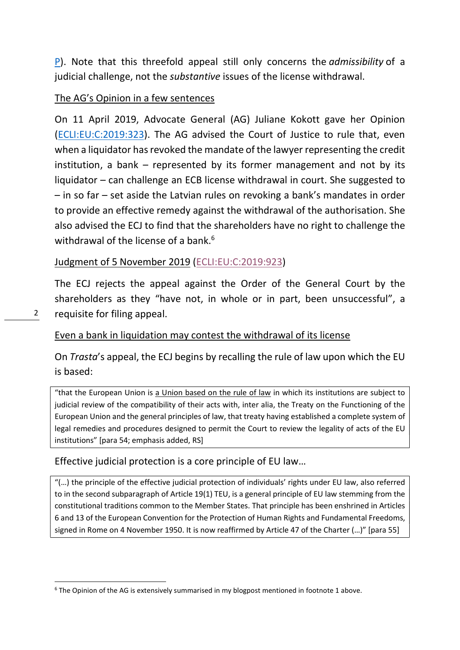P). Note that this threefold appeal still only concerns the admissibility of a judicial challenge, not the substantive issues of the license withdrawal.

# The AG's Opinion in a few sentences

On 11 April 2019, Advocate General (AG) Juliane Kokott gave her Opinion (ECLI:EU:C:2019:323). The AG advised the Court of Justice to rule that, even when a liquidator has revoked the mandate of the lawyer representing the credit institution, a bank – represented by its former management and not by its liquidator – can challenge an ECB license withdrawal in court. She suggested to – in so far – set aside the Latvian rules on revoking a bank's mandates in order to provide an effective remedy against the withdrawal of the authorisation. She also advised the ECJ to find that the shareholders have no right to challenge the withdrawal of the license of a bank. $6$ 

# Judgment of 5 November 2019 (ECLI:EU:C:2019:923)

The ECJ rejects the appeal against the Order of the General Court by the shareholders as they "have not, in whole or in part, been unsuccessful", a requisite for filing appeal.

# Even a bank in liquidation may contest the withdrawal of its license

On Trasta's appeal, the ECJ begins by recalling the rule of law upon which the EU is based:

"that the European Union is a Union based on the rule of law in which its institutions are subject to judicial review of the compatibility of their acts with, inter alia, the Treaty on the Functioning of the European Union and the general principles of law, that treaty having established a complete system of legal remedies and procedures designed to permit the Court to review the legality of acts of the EU institutions" [para 54; emphasis added, RS]

## Effective judicial protection is a core principle of EU law…

"(…) the principle of the effective judicial protection of individuals' rights under EU law, also referred to in the second subparagraph of Article 19(1) TEU, is a general principle of EU law stemming from the constitutional traditions common to the Member States. That principle has been enshrined in Articles 6 and 13 of the European Convention for the Protection of Human Rights and Fundamental Freedoms, signed in Rome on 4 November 1950. It is now reaffirmed by Article 47 of the Charter (…)" [para 55]

<sup>&</sup>lt;sup>6</sup> The Opinion of the AG is extensively summarised in my blogpost mentioned in footnote 1 above.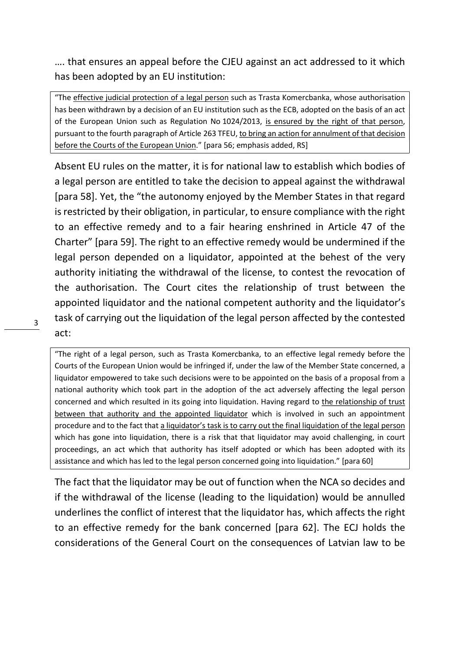…. that ensures an appeal before the CJEU against an act addressed to it which has been adopted by an EU institution:

"The effective judicial protection of a legal person such as Trasta Komercbanka, whose authorisation has been withdrawn by a decision of an EU institution such as the ECB, adopted on the basis of an act of the European Union such as Regulation No 1024/2013, is ensured by the right of that person, pursuant to the fourth paragraph of Article 263 TFEU, to bring an action for annulment of that decision before the Courts of the European Union." [para 56; emphasis added, RS]

Absent EU rules on the matter, it is for national law to establish which bodies of a legal person are entitled to take the decision to appeal against the withdrawal [para 58]. Yet, the "the autonomy enjoyed by the Member States in that regard is restricted by their obligation, in particular, to ensure compliance with the right to an effective remedy and to a fair hearing enshrined in Article 47 of the Charter" [para 59]. The right to an effective remedy would be undermined if the legal person depended on a liquidator, appointed at the behest of the very authority initiating the withdrawal of the license, to contest the revocation of the authorisation. The Court cites the relationship of trust between the appointed liquidator and the national competent authority and the liquidator's task of carrying out the liquidation of the legal person affected by the contested act:

"The right of a legal person, such as Trasta Komercbanka, to an effective legal remedy before the Courts of the European Union would be infringed if, under the law of the Member State concerned, a liquidator empowered to take such decisions were to be appointed on the basis of a proposal from a national authority which took part in the adoption of the act adversely affecting the legal person concerned and which resulted in its going into liquidation. Having regard to the relationship of trust between that authority and the appointed liquidator which is involved in such an appointment procedure and to the fact that a liquidator's task is to carry out the final liquidation of the legal person which has gone into liquidation, there is a risk that that liquidator may avoid challenging, in court proceedings, an act which that authority has itself adopted or which has been adopted with its assistance and which has led to the legal person concerned going into liquidation." [para 60]

The fact that the liquidator may be out of function when the NCA so decides and if the withdrawal of the license (leading to the liquidation) would be annulled underlines the conflict of interest that the liquidator has, which affects the right to an effective remedy for the bank concerned [para 62]. The ECJ holds the considerations of the General Court on the consequences of Latvian law to be

3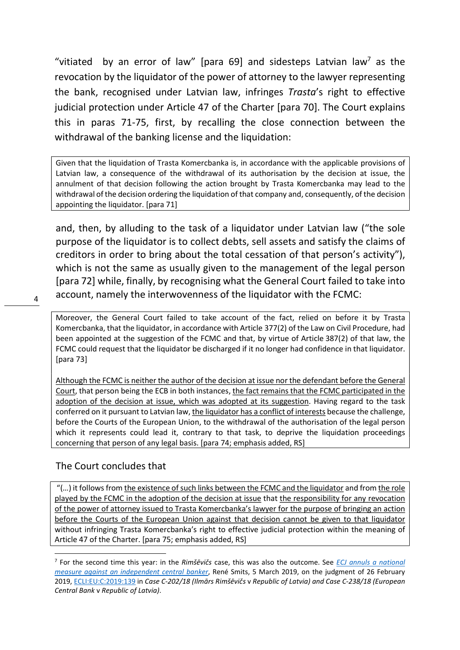"vitiated by an error of law" [para 69] and sidesteps Latvian law<sup>7</sup> as the revocation by the liquidator of the power of attorney to the lawyer representing the bank, recognised under Latvian law, infringes Trasta's right to effective judicial protection under Article 47 of the Charter [para 70]. The Court explains this in paras 71-75, first, by recalling the close connection between the withdrawal of the banking license and the liquidation:

Given that the liquidation of Trasta Komercbanka is, in accordance with the applicable provisions of Latvian law, a consequence of the withdrawal of its authorisation by the decision at issue, the annulment of that decision following the action brought by Trasta Komercbanka may lead to the withdrawal of the decision ordering the liquidation of that company and, consequently, of the decision appointing the liquidator. [para 71]

and, then, by alluding to the task of a liquidator under Latvian law ("the sole purpose of the liquidator is to collect debts, sell assets and satisfy the claims of creditors in order to bring about the total cessation of that person's activity"), which is not the same as usually given to the management of the legal person [para 72] while, finally, by recognising what the General Court failed to take into account, namely the interwovenness of the liquidator with the FCMC:

Moreover, the General Court failed to take account of the fact, relied on before it by Trasta Komercbanka, that the liquidator, in accordance with Article 377(2) of the Law on Civil Procedure, had been appointed at the suggestion of the FCMC and that, by virtue of Article 387(2) of that law, the FCMC could request that the liquidator be discharged if it no longer had confidence in that liquidator. [para 73]

Although the FCMC is neither the author of the decision at issue nor the defendant before the General Court, that person being the ECB in both instances, the fact remains that the FCMC participated in the adoption of the decision at issue, which was adopted at its suggestion. Having regard to the task conferred on it pursuant to Latvian law, the liquidator has a conflict of interests because the challenge, before the Courts of the European Union, to the withdrawal of the authorisation of the legal person which it represents could lead it, contrary to that task, to deprive the liquidation proceedings concerning that person of any legal basis. [para 74; emphasis added, RS]

## The Court concludes that

 "(…) it follows from the existence of such links between the FCMC and the liquidator and from the role played by the FCMC in the adoption of the decision at issue that the responsibility for any revocation of the power of attorney issued to Trasta Komercbanka's lawyer for the purpose of bringing an action before the Courts of the European Union against that decision cannot be given to that liquidator without infringing Trasta Komercbanka's right to effective judicial protection within the meaning of Article 47 of the Charter. [para 75; emphasis added, RS]

<sup>&</sup>lt;sup>7</sup> For the second time this year: in the Rimšēvičs case, this was also the outcome. See *ECJ annuls a national* measure against an independent central banker, René Smits, 5 March 2019, on the judgment of 26 February 2019, ECLI:EU:C:2019:139 in Case C-202/18 (Ilmārs Rimšēvičs v Republic of Latvia) and Case C-238/18 (European Central Bank v Republic of Latvia).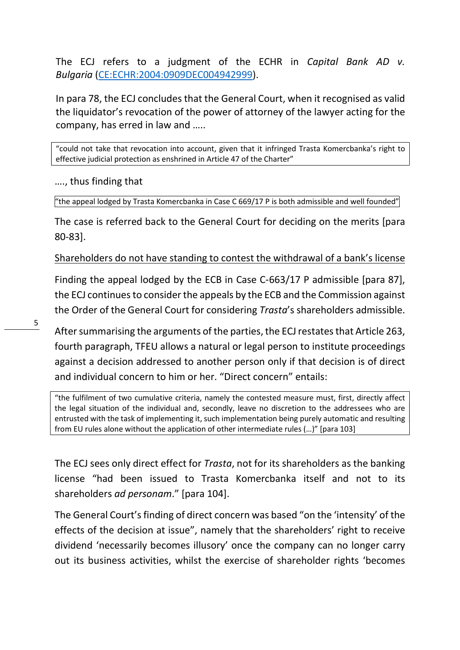The ECJ refers to a judgment of the ECHR in Capital Bank AD v. Bulgaria (CE:ECHR:2004:0909DEC004942999).

In para 78, the ECJ concludes that the General Court, when it recognised as valid the liquidator's revocation of the power of attorney of the lawyer acting for the company, has erred in law and …..

"could not take that revocation into account, given that it infringed Trasta Komercbanka's right to effective judicial protection as enshrined in Article 47 of the Charter"

…., thus finding that

"the appeal lodged by Trasta Komercbanka in Case C 669/17 P is both admissible and well founded"

The case is referred back to the General Court for deciding on the merits [para 80-83].

Shareholders do not have standing to contest the withdrawal of a bank's license

Finding the appeal lodged by the ECB in Case C-663/17 P admissible [para 87], the ECJ continues to consider the appeals by the ECB and the Commission against the Order of the General Court for considering Trasta's shareholders admissible.

After summarising the arguments of the parties, the ECJ restates that Article 263, fourth paragraph, TFEU allows a natural or legal person to institute proceedings against a decision addressed to another person only if that decision is of direct and individual concern to him or her. "Direct concern" entails:

"the fulfilment of two cumulative criteria, namely the contested measure must, first, directly affect the legal situation of the individual and, secondly, leave no discretion to the addressees who are entrusted with the task of implementing it, such implementation being purely automatic and resulting from EU rules alone without the application of other intermediate rules (…)" [para 103]

The ECJ sees only direct effect for *Trasta*, not for its shareholders as the banking license "had been issued to Trasta Komercbanka itself and not to its shareholders ad personam." [para 104].

The General Court's finding of direct concern was based "on the 'intensity' of the effects of the decision at issue", namely that the shareholders' right to receive dividend 'necessarily becomes illusory' once the company can no longer carry out its business activities, whilst the exercise of shareholder rights 'becomes

5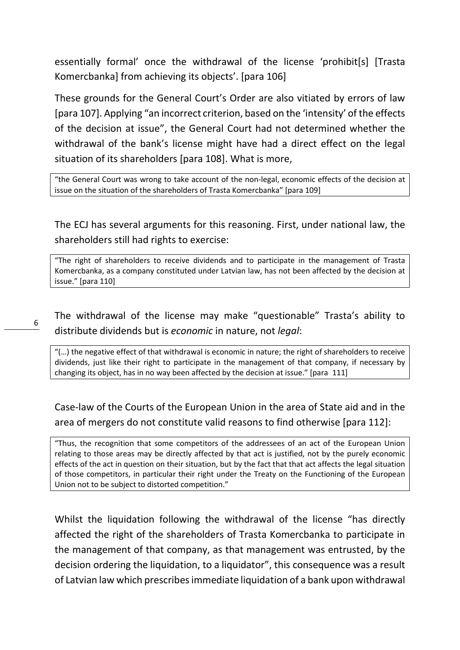essentially formal' once the withdrawal of the license 'prohibit[s] [Trasta Komercbanka] from achieving its objects'. [para 106]

These grounds for the General Court's Order are also vitiated by errors of law [para 107]. Applying "an incorrect criterion, based on the 'intensity' of the effects of the decision at issue", the General Court had not determined whether the withdrawal of the bank's license might have had a direct effect on the legal situation of its shareholders [para 108]. What is more,

"the General Court was wrong to take account of the non-legal, economic effects of the decision at issue on the situation of the shareholders of Trasta Komercbanka" [para 109]

The ECJ has several arguments for this reasoning. First, under national law, the shareholders still had rights to exercise:

"The right of shareholders to receive dividends and to participate in the management of Trasta Komercbanka, as a company constituted under Latvian law, has not been affected by the decision at issue." [para 110]

The withdrawal of the license may make "questionable" Trasta's ability to distribute dividends but is economic in nature, not legal:

6

"(…) the negative effect of that withdrawal is economic in nature; the right of shareholders to receive dividends, just like their right to participate in the management of that company, if necessary by changing its object, has in no way been affected by the decision at issue." [para 111]

Case-law of the Courts of the European Union in the area of State aid and in the area of mergers do not constitute valid reasons to find otherwise [para 112]:

"Thus, the recognition that some competitors of the addressees of an act of the European Union relating to those areas may be directly affected by that act is justified, not by the purely economic effects of the act in question on their situation, but by the fact that that act affects the legal situation of those competitors, in particular their right under the Treaty on the Functioning of the European Union not to be subject to distorted competition."

Whilst the liquidation following the withdrawal of the license "has directly affected the right of the shareholders of Trasta Komercbanka to participate in the management of that company, as that management was entrusted, by the decision ordering the liquidation, to a liquidator", this consequence was a result of Latvian law which prescribes immediate liquidation of a bank upon withdrawal